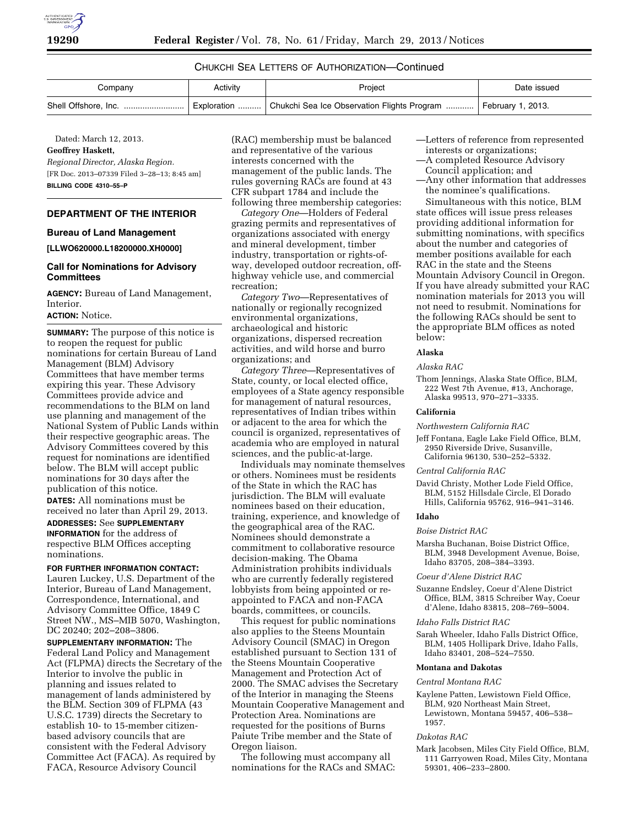

# CHUKCHI SEA LETTERS OF AUTHORIZATION—Continued

| Company | Activity | Project                                                                       | Date issued |
|---------|----------|-------------------------------------------------------------------------------|-------------|
|         |          | Exploration  Chukchi Sea Ice Observation Flights Program    February 1, 2013. |             |

Dated: March 12, 2013.

# **Geoffrey Haskett,**

*Regional Director, Alaska Region.* 

[FR Doc. 2013–07339 Filed 3–28–13; 8:45 am] **BILLING CODE 4310–55–P** 

# **DEPARTMENT OF THE INTERIOR**

### **Bureau of Land Management**

**[LLWO620000.L18200000.XH0000]** 

## **Call for Nominations for Advisory Committees**

**AGENCY:** Bureau of Land Management, Interior.

## **ACTION:** Notice.

**SUMMARY:** The purpose of this notice is to reopen the request for public nominations for certain Bureau of Land Management (BLM) Advisory Committees that have member terms expiring this year. These Advisory Committees provide advice and recommendations to the BLM on land use planning and management of the National System of Public Lands within their respective geographic areas. The Advisory Committees covered by this request for nominations are identified below. The BLM will accept public nominations for 30 days after the publication of this notice. **DATES:** All nominations must be received no later than April 29, 2013.

**ADDRESSES:** See **SUPPLEMENTARY INFORMATION** for the address of respective BLM Offices accepting nominations.

**FOR FURTHER INFORMATION CONTACT:**  Lauren Luckey, U.S. Department of the Interior, Bureau of Land Management, Correspondence, International, and Advisory Committee Office, 1849 C Street NW., MS–MIB 5070, Washington, DC 20240; 202–208–3806.

**SUPPLEMENTARY INFORMATION:** The Federal Land Policy and Management Act (FLPMA) directs the Secretary of the Interior to involve the public in planning and issues related to management of lands administered by the BLM. Section 309 of FLPMA (43 U.S.C. 1739) directs the Secretary to establish 10- to 15-member citizenbased advisory councils that are consistent with the Federal Advisory Committee Act (FACA). As required by FACA, Resource Advisory Council

(RAC) membership must be balanced and representative of the various interests concerned with the management of the public lands. The rules governing RACs are found at 43 CFR subpart 1784 and include the following three membership categories:

*Category One*—Holders of Federal grazing permits and representatives of organizations associated with energy and mineral development, timber industry, transportation or rights-ofway, developed outdoor recreation, offhighway vehicle use, and commercial recreation;

*Category Two*—Representatives of nationally or regionally recognized environmental organizations, archaeological and historic organizations, dispersed recreation activities, and wild horse and burro organizations; and

*Category Three*—Representatives of State, county, or local elected office, employees of a State agency responsible for management of natural resources, representatives of Indian tribes within or adjacent to the area for which the council is organized, representatives of academia who are employed in natural sciences, and the public-at-large.

Individuals may nominate themselves or others. Nominees must be residents of the State in which the RAC has jurisdiction. The BLM will evaluate nominees based on their education, training, experience, and knowledge of the geographical area of the RAC. Nominees should demonstrate a commitment to collaborative resource decision-making. The Obama Administration prohibits individuals who are currently federally registered lobbyists from being appointed or reappointed to FACA and non-FACA boards, committees, or councils.

This request for public nominations also applies to the Steens Mountain Advisory Council (SMAC) in Oregon established pursuant to Section 131 of the Steens Mountain Cooperative Management and Protection Act of 2000. The SMAC advises the Secretary of the Interior in managing the Steens Mountain Cooperative Management and Protection Area. Nominations are requested for the positions of Burns Paiute Tribe member and the State of Oregon liaison.

The following must accompany all nominations for the RACs and SMAC: —Letters of reference from represented interests or organizations;

- —A completed Resource Advisory
- Council application; and
- —Any other information that addresses the nominee's qualifications.

Simultaneous with this notice, BLM state offices will issue press releases providing additional information for submitting nominations, with specifics about the number and categories of member positions available for each RAC in the state and the Steens Mountain Advisory Council in Oregon. If you have already submitted your RAC nomination materials for 2013 you will not need to resubmit. Nominations for the following RACs should be sent to the appropriate BLM offices as noted below:

#### **Alaska**

### *Alaska RAC*

Thom Jennings, Alaska State Office, BLM, 222 West 7th Avenue, #13, Anchorage, Alaska 99513, 970–271–3335.

#### **California**

*Northwestern California RAC* 

Jeff Fontana, Eagle Lake Field Office, BLM, 2950 Riverside Drive, Susanville, California 96130, 530–252–5332.

### *Central California RAC*

David Christy, Mother Lode Field Office, BLM, 5152 Hillsdale Circle, El Dorado Hills, California 95762, 916–941–3146.

## **Idaho**

## *Boise District RAC*

Marsha Buchanan, Boise District Office, BLM, 3948 Development Avenue, Boise, Idaho 83705, 208–384–3393.

#### *Coeur d'Alene District RAC*

- Suzanne Endsley, Coeur d'Alene District Office, BLM, 3815 Schreiber Way, Coeur d'Alene, Idaho 83815, 208–769–5004.
- *Idaho Falls District RAC*
- Sarah Wheeler, Idaho Falls District Office, BLM, 1405 Hollipark Drive, Idaho Falls, Idaho 83401, 208–524–7550.

#### **Montana and Dakotas**

### *Central Montana RAC*

Kaylene Patten, Lewistown Field Office, BLM, 920 Northeast Main Street, Lewistown, Montana 59457, 406–538– 1957.

#### *Dakotas RAC*

Mark Jacobsen, Miles City Field Office, BLM, 111 Garryowen Road, Miles City, Montana 59301, 406–233–2800.